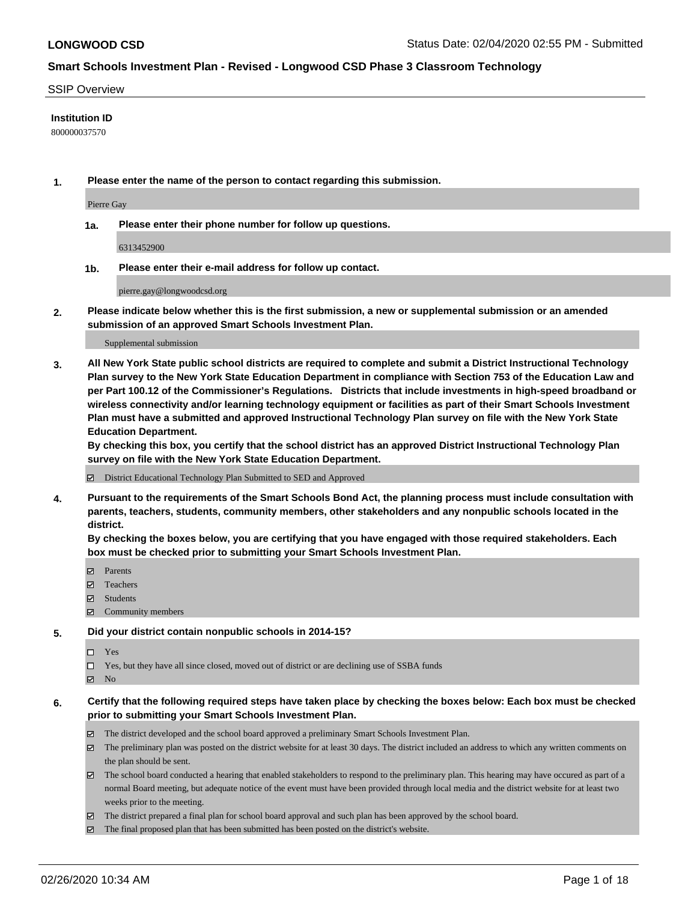#### SSIP Overview

### **Institution ID**

800000037570

**1. Please enter the name of the person to contact regarding this submission.**

Pierre Gay

**1a. Please enter their phone number for follow up questions.**

6313452900

**1b. Please enter their e-mail address for follow up contact.**

pierre.gay@longwoodcsd.org

**2. Please indicate below whether this is the first submission, a new or supplemental submission or an amended submission of an approved Smart Schools Investment Plan.**

#### Supplemental submission

**3. All New York State public school districts are required to complete and submit a District Instructional Technology Plan survey to the New York State Education Department in compliance with Section 753 of the Education Law and per Part 100.12 of the Commissioner's Regulations. Districts that include investments in high-speed broadband or wireless connectivity and/or learning technology equipment or facilities as part of their Smart Schools Investment Plan must have a submitted and approved Instructional Technology Plan survey on file with the New York State Education Department.** 

**By checking this box, you certify that the school district has an approved District Instructional Technology Plan survey on file with the New York State Education Department.**

District Educational Technology Plan Submitted to SED and Approved

**4. Pursuant to the requirements of the Smart Schools Bond Act, the planning process must include consultation with parents, teachers, students, community members, other stakeholders and any nonpublic schools located in the district.** 

**By checking the boxes below, you are certifying that you have engaged with those required stakeholders. Each box must be checked prior to submitting your Smart Schools Investment Plan.**

- **マ** Parents
- Teachers
- Students
- Community members

#### **5. Did your district contain nonpublic schools in 2014-15?**

 $\neg$  Yes

Yes, but they have all since closed, moved out of district or are declining use of SSBA funds

**Z** No

### **6. Certify that the following required steps have taken place by checking the boxes below: Each box must be checked prior to submitting your Smart Schools Investment Plan.**

- The district developed and the school board approved a preliminary Smart Schools Investment Plan.
- $\boxtimes$  The preliminary plan was posted on the district website for at least 30 days. The district included an address to which any written comments on the plan should be sent.
- $\boxtimes$  The school board conducted a hearing that enabled stakeholders to respond to the preliminary plan. This hearing may have occured as part of a normal Board meeting, but adequate notice of the event must have been provided through local media and the district website for at least two weeks prior to the meeting.
- The district prepared a final plan for school board approval and such plan has been approved by the school board.
- The final proposed plan that has been submitted has been posted on the district's website.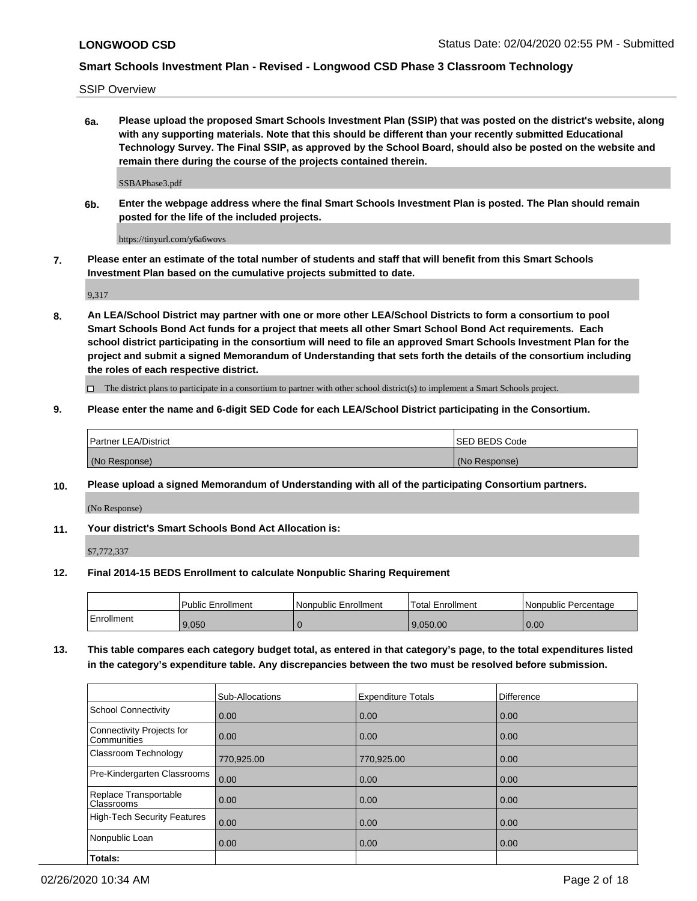SSIP Overview

**6a. Please upload the proposed Smart Schools Investment Plan (SSIP) that was posted on the district's website, along with any supporting materials. Note that this should be different than your recently submitted Educational Technology Survey. The Final SSIP, as approved by the School Board, should also be posted on the website and remain there during the course of the projects contained therein.**

SSBAPhase3.pdf

**6b. Enter the webpage address where the final Smart Schools Investment Plan is posted. The Plan should remain posted for the life of the included projects.**

https://tinyurl.com/y6a6wovs

**7. Please enter an estimate of the total number of students and staff that will benefit from this Smart Schools Investment Plan based on the cumulative projects submitted to date.**

9,317

**8. An LEA/School District may partner with one or more other LEA/School Districts to form a consortium to pool Smart Schools Bond Act funds for a project that meets all other Smart School Bond Act requirements. Each school district participating in the consortium will need to file an approved Smart Schools Investment Plan for the project and submit a signed Memorandum of Understanding that sets forth the details of the consortium including the roles of each respective district.**

 $\Box$  The district plans to participate in a consortium to partner with other school district(s) to implement a Smart Schools project.

### **9. Please enter the name and 6-digit SED Code for each LEA/School District participating in the Consortium.**

| Partner LEA/District | <b>ISED BEDS Code</b> |
|----------------------|-----------------------|
| (No Response)        | (No Response)         |

### **10. Please upload a signed Memorandum of Understanding with all of the participating Consortium partners.**

(No Response)

#### **11. Your district's Smart Schools Bond Act Allocation is:**

\$7,772,337

#### **12. Final 2014-15 BEDS Enrollment to calculate Nonpublic Sharing Requirement**

|            | Public Enrollment | Nonpublic Enrollment | Total Enrollment | l Nonpublic Percentage |
|------------|-------------------|----------------------|------------------|------------------------|
| Enrollment | 9,050             |                      | 9.050.00         | 0.00                   |

**13. This table compares each category budget total, as entered in that category's page, to the total expenditures listed in the category's expenditure table. Any discrepancies between the two must be resolved before submission.**

|                                          | Sub-Allocations | <b>Expenditure Totals</b> | <b>Difference</b> |
|------------------------------------------|-----------------|---------------------------|-------------------|
| <b>School Connectivity</b>               | 0.00            | 0.00                      | 0.00              |
| Connectivity Projects for<br>Communities | 0.00            | 0.00                      | 0.00              |
| Classroom Technology                     | 770,925.00      | 770,925.00                | 0.00              |
| Pre-Kindergarten Classrooms              | 0.00            | 0.00                      | 0.00              |
| Replace Transportable<br>Classrooms      | 0.00            | 0.00                      | 0.00              |
| <b>High-Tech Security Features</b>       | 0.00            | 0.00                      | 0.00              |
| Nonpublic Loan                           | 0.00            | 0.00                      | 0.00              |
| Totals:                                  |                 |                           |                   |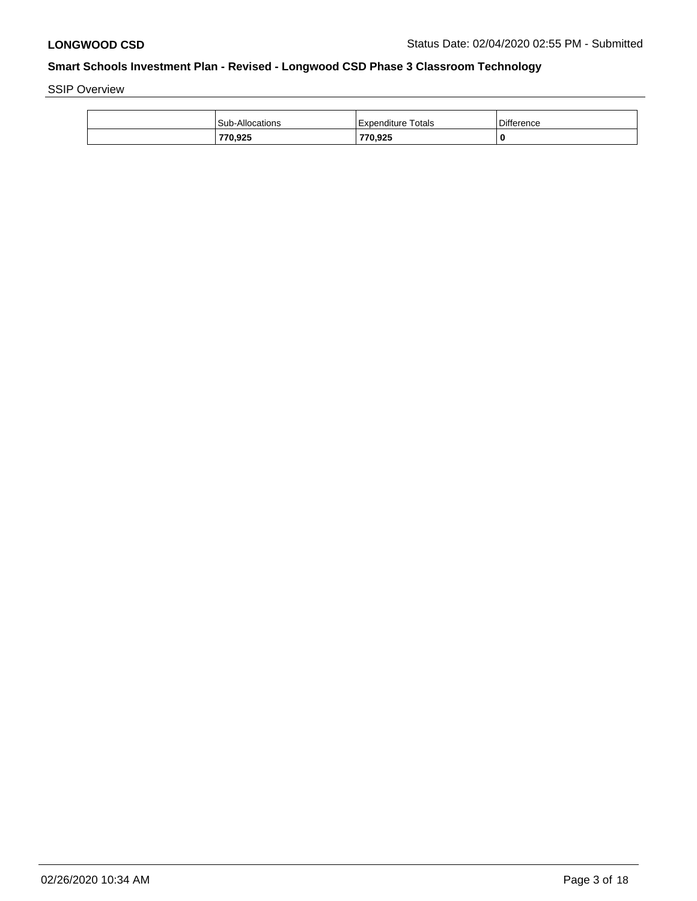SSIP Overview

| Sub-Allocations | Expenditure Totals | <b>Difference</b> |
|-----------------|--------------------|-------------------|
| 770,925         | 770.925            |                   |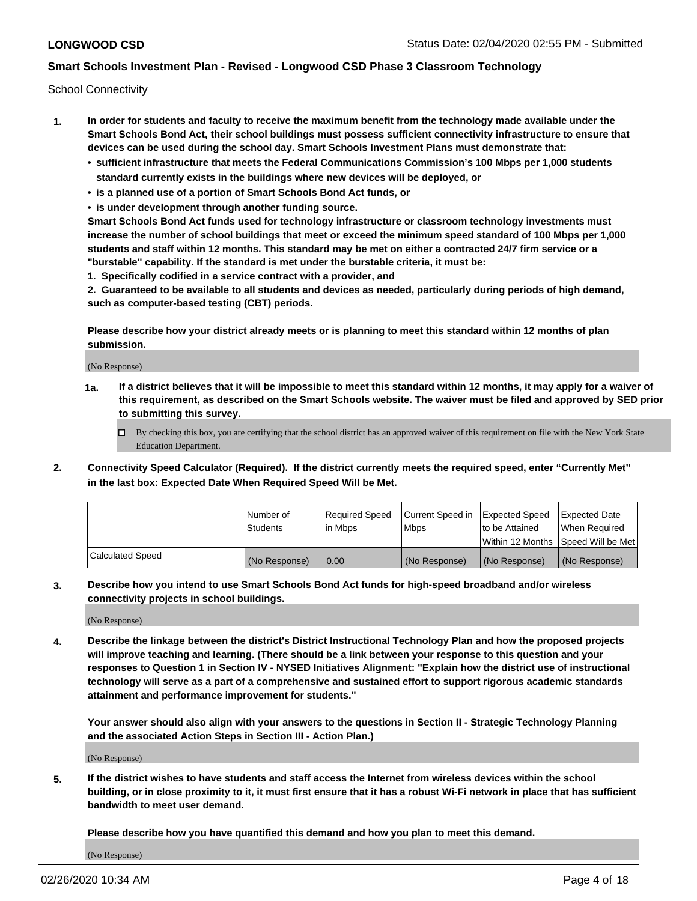School Connectivity

- **1. In order for students and faculty to receive the maximum benefit from the technology made available under the Smart Schools Bond Act, their school buildings must possess sufficient connectivity infrastructure to ensure that devices can be used during the school day. Smart Schools Investment Plans must demonstrate that:**
	- **• sufficient infrastructure that meets the Federal Communications Commission's 100 Mbps per 1,000 students standard currently exists in the buildings where new devices will be deployed, or**
	- **• is a planned use of a portion of Smart Schools Bond Act funds, or**
	- **• is under development through another funding source.**

**Smart Schools Bond Act funds used for technology infrastructure or classroom technology investments must increase the number of school buildings that meet or exceed the minimum speed standard of 100 Mbps per 1,000 students and staff within 12 months. This standard may be met on either a contracted 24/7 firm service or a "burstable" capability. If the standard is met under the burstable criteria, it must be:**

**1. Specifically codified in a service contract with a provider, and**

**2. Guaranteed to be available to all students and devices as needed, particularly during periods of high demand, such as computer-based testing (CBT) periods.**

**Please describe how your district already meets or is planning to meet this standard within 12 months of plan submission.**

(No Response)

**1a. If a district believes that it will be impossible to meet this standard within 12 months, it may apply for a waiver of this requirement, as described on the Smart Schools website. The waiver must be filed and approved by SED prior to submitting this survey.**

 $\Box$  By checking this box, you are certifying that the school district has an approved waiver of this requirement on file with the New York State Education Department.

**2. Connectivity Speed Calculator (Required). If the district currently meets the required speed, enter "Currently Met" in the last box: Expected Date When Required Speed Will be Met.**

|                  | l Number of     | Required Speed | Current Speed in | Expected Speed | Expected Date                        |
|------------------|-----------------|----------------|------------------|----------------|--------------------------------------|
|                  | <b>Students</b> | In Mbps        | Mbps             | to be Attained | When Required                        |
|                  |                 |                |                  |                | Within 12 Months 1Speed Will be Met1 |
| Calculated Speed | (No Response)   | 0.00           | (No Response)    | (No Response)  | l (No Response)                      |

**3. Describe how you intend to use Smart Schools Bond Act funds for high-speed broadband and/or wireless connectivity projects in school buildings.**

(No Response)

**4. Describe the linkage between the district's District Instructional Technology Plan and how the proposed projects will improve teaching and learning. (There should be a link between your response to this question and your responses to Question 1 in Section IV - NYSED Initiatives Alignment: "Explain how the district use of instructional technology will serve as a part of a comprehensive and sustained effort to support rigorous academic standards attainment and performance improvement for students."** 

**Your answer should also align with your answers to the questions in Section II - Strategic Technology Planning and the associated Action Steps in Section III - Action Plan.)**

(No Response)

**5. If the district wishes to have students and staff access the Internet from wireless devices within the school building, or in close proximity to it, it must first ensure that it has a robust Wi-Fi network in place that has sufficient bandwidth to meet user demand.**

**Please describe how you have quantified this demand and how you plan to meet this demand.**

(No Response)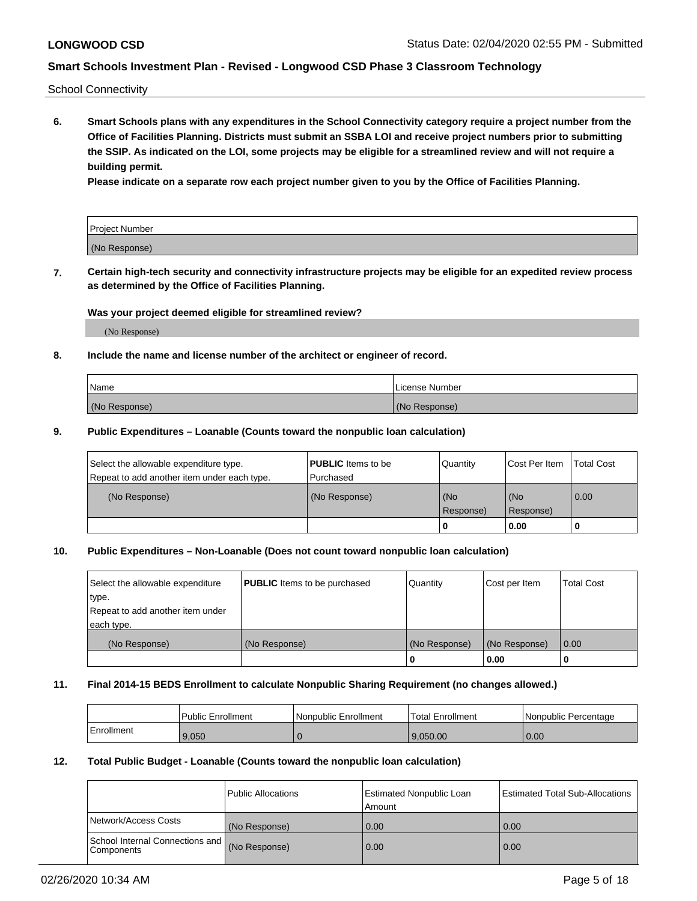School Connectivity

**6. Smart Schools plans with any expenditures in the School Connectivity category require a project number from the Office of Facilities Planning. Districts must submit an SSBA LOI and receive project numbers prior to submitting the SSIP. As indicated on the LOI, some projects may be eligible for a streamlined review and will not require a building permit.**

**Please indicate on a separate row each project number given to you by the Office of Facilities Planning.**

| Project Number |  |
|----------------|--|
| (No Response)  |  |

**7. Certain high-tech security and connectivity infrastructure projects may be eligible for an expedited review process as determined by the Office of Facilities Planning.**

### **Was your project deemed eligible for streamlined review?**

(No Response)

### **8. Include the name and license number of the architect or engineer of record.**

| Name          | License Number |
|---------------|----------------|
| (No Response) | (No Response)  |

#### **9. Public Expenditures – Loanable (Counts toward the nonpublic loan calculation)**

| Select the allowable expenditure type.<br>Repeat to add another item under each type. | <b>PUBLIC</b> Items to be<br>l Purchased | Quantity         | l Cost Per Item  | <b>Total Cost</b> |
|---------------------------------------------------------------------------------------|------------------------------------------|------------------|------------------|-------------------|
| (No Response)                                                                         | (No Response)                            | (No<br>Response) | (No<br>Response) | 0.00              |
|                                                                                       |                                          | 0                | 0.00             |                   |

### **10. Public Expenditures – Non-Loanable (Does not count toward nonpublic loan calculation)**

| Select the allowable expenditure | <b>PUBLIC</b> Items to be purchased | Quantity      | Cost per Item | <b>Total Cost</b> |
|----------------------------------|-------------------------------------|---------------|---------------|-------------------|
| type.                            |                                     |               |               |                   |
| Repeat to add another item under |                                     |               |               |                   |
| each type.                       |                                     |               |               |                   |
| (No Response)                    | (No Response)                       | (No Response) | (No Response) | 0.00              |
|                                  |                                     | U             | 0.00          |                   |

#### **11. Final 2014-15 BEDS Enrollment to calculate Nonpublic Sharing Requirement (no changes allowed.)**

|            | Public Enrollment | <b>Nonpublic Enrollment</b> | Total Enrollment | l Nonpublic Percentage |
|------------|-------------------|-----------------------------|------------------|------------------------|
| Enrollment | 9.050             |                             | 9.050.00         | 0.00                   |

### **12. Total Public Budget - Loanable (Counts toward the nonpublic loan calculation)**

|                                               | Public Allocations | <b>Estimated Nonpublic Loan</b><br>Amount | Estimated Total Sub-Allocations |
|-----------------------------------------------|--------------------|-------------------------------------------|---------------------------------|
| Network/Access Costs                          | (No Response)      | 0.00                                      | 0.00                            |
| School Internal Connections and<br>Components | (No Response)      | 0.00                                      | 0.00                            |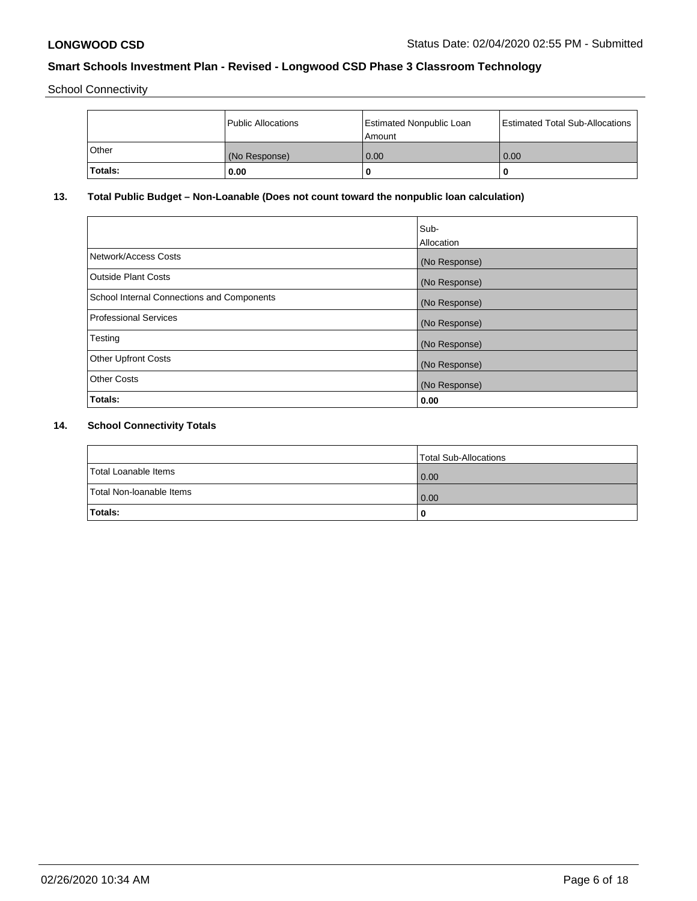School Connectivity

|              | Public Allocations | Estimated Nonpublic Loan<br>l Amount i | Estimated Total Sub-Allocations |
|--------------|--------------------|----------------------------------------|---------------------------------|
| <b>Other</b> | (No Response)      | 0.00                                   | 0.00                            |
| Totals:      | 0.00               | 0                                      | 0                               |

# **13. Total Public Budget – Non-Loanable (Does not count toward the nonpublic loan calculation)**

|                                                   | Sub-<br>Allocation |
|---------------------------------------------------|--------------------|
| Network/Access Costs                              | (No Response)      |
| <b>Outside Plant Costs</b>                        | (No Response)      |
| <b>School Internal Connections and Components</b> | (No Response)      |
| Professional Services                             | (No Response)      |
| Testing                                           | (No Response)      |
| <b>Other Upfront Costs</b>                        | (No Response)      |
| <b>Other Costs</b>                                | (No Response)      |
| <b>Totals:</b>                                    | 0.00               |

# **14. School Connectivity Totals**

|                          | Total Sub-Allocations |
|--------------------------|-----------------------|
| Total Loanable Items     | 0.00                  |
| Total Non-Ioanable Items | 0.00                  |
| Totals:                  |                       |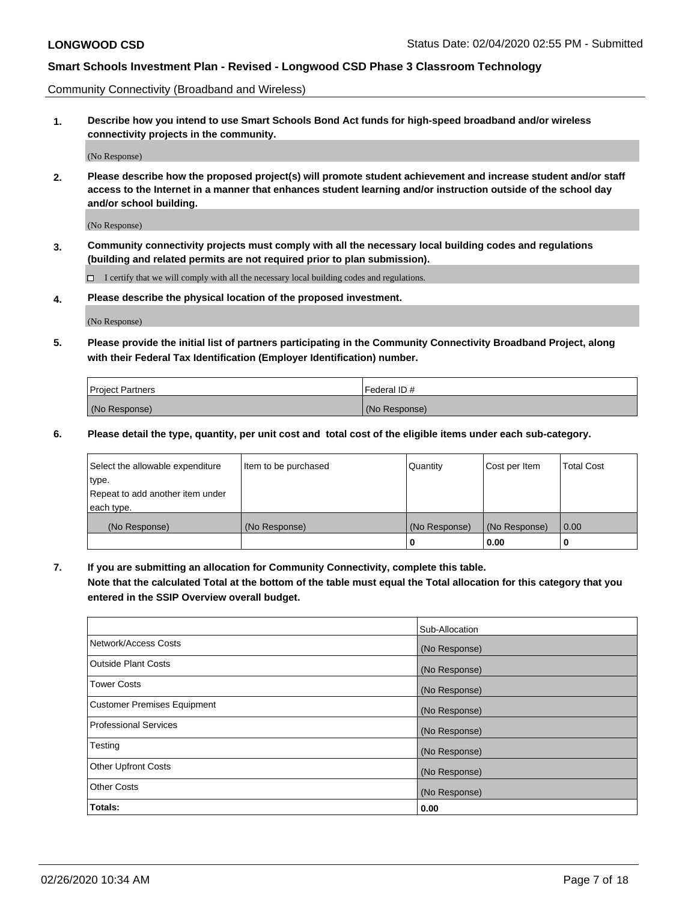Community Connectivity (Broadband and Wireless)

**1. Describe how you intend to use Smart Schools Bond Act funds for high-speed broadband and/or wireless connectivity projects in the community.**

(No Response)

**2. Please describe how the proposed project(s) will promote student achievement and increase student and/or staff access to the Internet in a manner that enhances student learning and/or instruction outside of the school day and/or school building.**

(No Response)

**3. Community connectivity projects must comply with all the necessary local building codes and regulations (building and related permits are not required prior to plan submission).**

 $\Box$  I certify that we will comply with all the necessary local building codes and regulations.

**4. Please describe the physical location of the proposed investment.**

(No Response)

**5. Please provide the initial list of partners participating in the Community Connectivity Broadband Project, along with their Federal Tax Identification (Employer Identification) number.**

| <b>Project Partners</b> | l Federal ID # |
|-------------------------|----------------|
| (No Response)           | (No Response)  |

**6. Please detail the type, quantity, per unit cost and total cost of the eligible items under each sub-category.**

| Select the allowable expenditure | Item to be purchased | Quantity      | Cost per Item | <b>Total Cost</b> |
|----------------------------------|----------------------|---------------|---------------|-------------------|
| type.                            |                      |               |               |                   |
| Repeat to add another item under |                      |               |               |                   |
| each type.                       |                      |               |               |                   |
| (No Response)                    | (No Response)        | (No Response) | (No Response) | 0.00              |
|                                  |                      | U             | 0.00          | -0                |

**7. If you are submitting an allocation for Community Connectivity, complete this table.**

**Note that the calculated Total at the bottom of the table must equal the Total allocation for this category that you entered in the SSIP Overview overall budget.**

|                                    | Sub-Allocation |
|------------------------------------|----------------|
| Network/Access Costs               | (No Response)  |
| Outside Plant Costs                | (No Response)  |
| <b>Tower Costs</b>                 | (No Response)  |
| <b>Customer Premises Equipment</b> | (No Response)  |
| <b>Professional Services</b>       | (No Response)  |
| Testing                            | (No Response)  |
| <b>Other Upfront Costs</b>         | (No Response)  |
| <b>Other Costs</b>                 | (No Response)  |
| Totals:                            | 0.00           |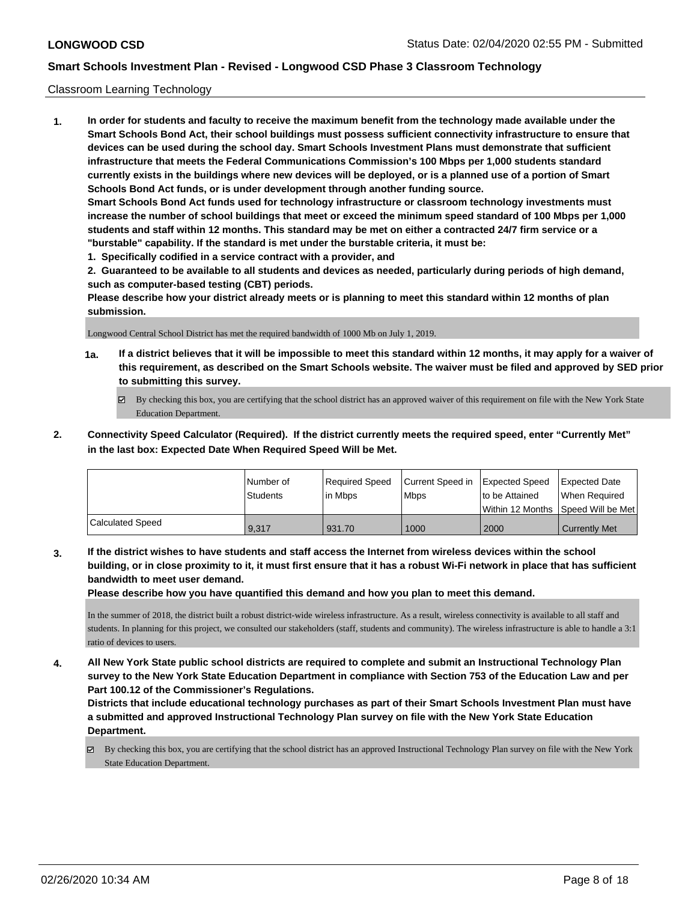### Classroom Learning Technology

**1. In order for students and faculty to receive the maximum benefit from the technology made available under the Smart Schools Bond Act, their school buildings must possess sufficient connectivity infrastructure to ensure that devices can be used during the school day. Smart Schools Investment Plans must demonstrate that sufficient infrastructure that meets the Federal Communications Commission's 100 Mbps per 1,000 students standard currently exists in the buildings where new devices will be deployed, or is a planned use of a portion of Smart Schools Bond Act funds, or is under development through another funding source. Smart Schools Bond Act funds used for technology infrastructure or classroom technology investments must increase the number of school buildings that meet or exceed the minimum speed standard of 100 Mbps per 1,000 students and staff within 12 months. This standard may be met on either a contracted 24/7 firm service or a "burstable" capability. If the standard is met under the burstable criteria, it must be:**

**1. Specifically codified in a service contract with a provider, and**

**2. Guaranteed to be available to all students and devices as needed, particularly during periods of high demand, such as computer-based testing (CBT) periods.**

**Please describe how your district already meets or is planning to meet this standard within 12 months of plan submission.**

Longwood Central School District has met the required bandwidth of 1000 Mb on July 1, 2019.

- **1a. If a district believes that it will be impossible to meet this standard within 12 months, it may apply for a waiver of this requirement, as described on the Smart Schools website. The waiver must be filed and approved by SED prior to submitting this survey.**
	- By checking this box, you are certifying that the school district has an approved waiver of this requirement on file with the New York State Education Department.
- **2. Connectivity Speed Calculator (Required). If the district currently meets the required speed, enter "Currently Met" in the last box: Expected Date When Required Speed Will be Met.**

|                  | l Number of     | Required Speed | Current Speed in Expected Speed |                | Expected Date                        |
|------------------|-----------------|----------------|---------------------------------|----------------|--------------------------------------|
|                  | <b>Students</b> | In Mbps        | <b>Mbps</b>                     | to be Attained | When Required                        |
|                  |                 |                |                                 |                | Within 12 Months 1Speed Will be Met1 |
| Calculated Speed | 9,317           | 931.70         | 1000                            | 2000           | <b>Currently Met</b>                 |

**3. If the district wishes to have students and staff access the Internet from wireless devices within the school building, or in close proximity to it, it must first ensure that it has a robust Wi-Fi network in place that has sufficient bandwidth to meet user demand.**

**Please describe how you have quantified this demand and how you plan to meet this demand.**

In the summer of 2018, the district built a robust district-wide wireless infrastructure. As a result, wireless connectivity is available to all staff and students. In planning for this project, we consulted our stakeholders (staff, students and community). The wireless infrastructure is able to handle a 3:1 ratio of devices to users.

**4. All New York State public school districts are required to complete and submit an Instructional Technology Plan survey to the New York State Education Department in compliance with Section 753 of the Education Law and per Part 100.12 of the Commissioner's Regulations.**

**Districts that include educational technology purchases as part of their Smart Schools Investment Plan must have a submitted and approved Instructional Technology Plan survey on file with the New York State Education Department.**

By checking this box, you are certifying that the school district has an approved Instructional Technology Plan survey on file with the New York State Education Department.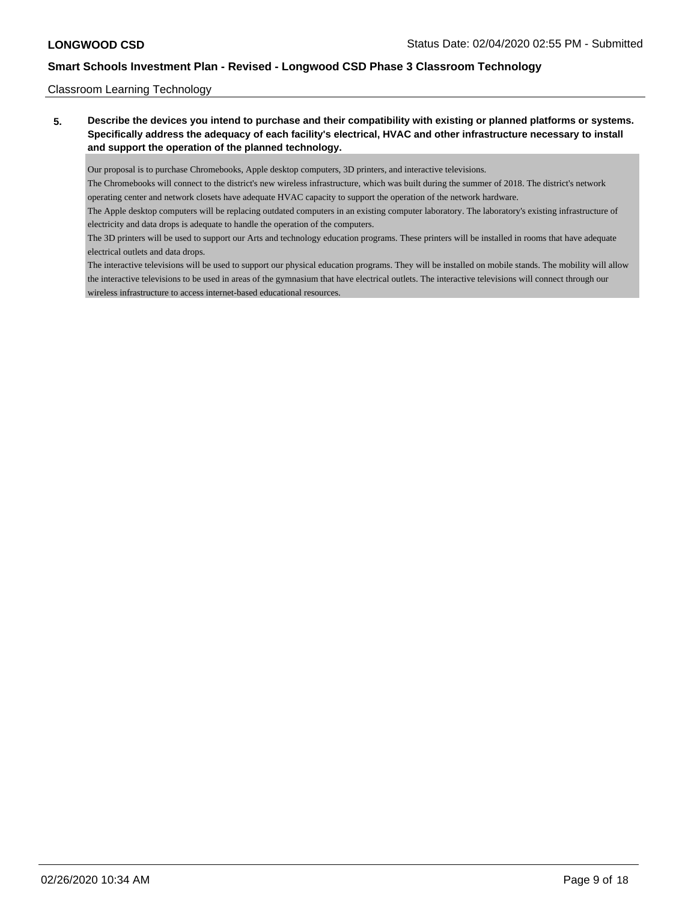### Classroom Learning Technology

**5. Describe the devices you intend to purchase and their compatibility with existing or planned platforms or systems. Specifically address the adequacy of each facility's electrical, HVAC and other infrastructure necessary to install and support the operation of the planned technology.**

Our proposal is to purchase Chromebooks, Apple desktop computers, 3D printers, and interactive televisions.

The Chromebooks will connect to the district's new wireless infrastructure, which was built during the summer of 2018. The district's network

operating center and network closets have adequate HVAC capacity to support the operation of the network hardware.

The Apple desktop computers will be replacing outdated computers in an existing computer laboratory. The laboratory's existing infrastructure of electricity and data drops is adequate to handle the operation of the computers.

The 3D printers will be used to support our Arts and technology education programs. These printers will be installed in rooms that have adequate electrical outlets and data drops.

The interactive televisions will be used to support our physical education programs. They will be installed on mobile stands. The mobility will allow the interactive televisions to be used in areas of the gymnasium that have electrical outlets. The interactive televisions will connect through our wireless infrastructure to access internet-based educational resources.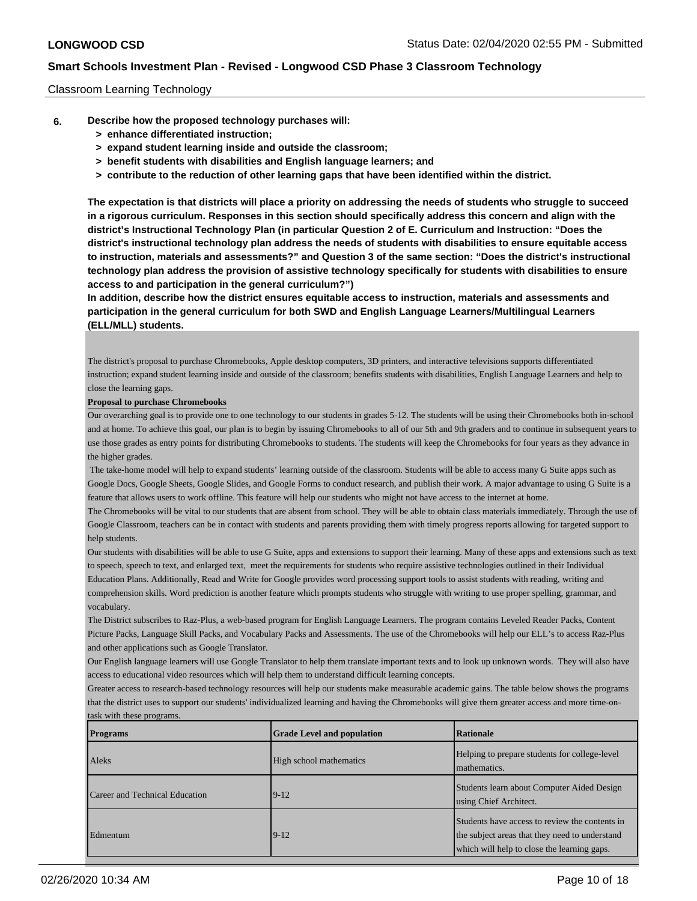#### Classroom Learning Technology

- **6. Describe how the proposed technology purchases will:**
	- **> enhance differentiated instruction;**
	- **> expand student learning inside and outside the classroom;**
	- **> benefit students with disabilities and English language learners; and**
	- **> contribute to the reduction of other learning gaps that have been identified within the district.**

**The expectation is that districts will place a priority on addressing the needs of students who struggle to succeed in a rigorous curriculum. Responses in this section should specifically address this concern and align with the district's Instructional Technology Plan (in particular Question 2 of E. Curriculum and Instruction: "Does the district's instructional technology plan address the needs of students with disabilities to ensure equitable access to instruction, materials and assessments?" and Question 3 of the same section: "Does the district's instructional technology plan address the provision of assistive technology specifically for students with disabilities to ensure access to and participation in the general curriculum?")**

**In addition, describe how the district ensures equitable access to instruction, materials and assessments and participation in the general curriculum for both SWD and English Language Learners/Multilingual Learners (ELL/MLL) students.**

The district's proposal to purchase Chromebooks, Apple desktop computers, 3D printers, and interactive televisions supports differentiated instruction; expand student learning inside and outside of the classroom; benefits students with disabilities, English Language Learners and help to close the learning gaps.

#### **Proposal to purchase Chromebooks**

Our overarching goal is to provide one to one technology to our students in grades 5-12. The students will be using their Chromebooks both in-school and at home. To achieve this goal, our plan is to begin by issuing Chromebooks to all of our 5th and 9th graders and to continue in subsequent years to use those grades as entry points for distributing Chromebooks to students. The students will keep the Chromebooks for four years as they advance in the higher grades.

 The take-home model will help to expand students' learning outside of the classroom. Students will be able to access many G Suite apps such as Google Docs, Google Sheets, Google Slides, and Google Forms to conduct research, and publish their work. A major advantage to using G Suite is a feature that allows users to work offline. This feature will help our students who might not have access to the internet at home.

The Chromebooks will be vital to our students that are absent from school. They will be able to obtain class materials immediately. Through the use of Google Classroom, teachers can be in contact with students and parents providing them with timely progress reports allowing for targeted support to help students.

Our students with disabilities will be able to use G Suite, apps and extensions to support their learning. Many of these apps and extensions such as text to speech, speech to text, and enlarged text, meet the requirements for students who require assistive technologies outlined in their Individual Education Plans. Additionally, Read and Write for Google provides word processing support tools to assist students with reading, writing and comprehension skills. Word prediction is another feature which prompts students who struggle with writing to use proper spelling, grammar, and vocabulary.

The District subscribes to Raz-Plus, a web-based program for English Language Learners. The program contains Leveled Reader Packs, Content Picture Packs, Language Skill Packs, and Vocabulary Packs and Assessments. The use of the Chromebooks will help our ELL's to access Raz-Plus and other applications such as Google Translator.

Our English language learners will use Google Translator to help them translate important texts and to look up unknown words. They will also have access to educational video resources which will help them to understand difficult learning concepts.

Greater access to research-based technology resources will help our students make measurable academic gains. The table below shows the programs that the district uses to support our students' individualized learning and having the Chromebooks will give them greater access and more time-ontask with these programs.

| <b>Programs</b>                | <b>Grade Level and population</b> | <b>Rationale</b>                                                                                                                                |
|--------------------------------|-----------------------------------|-------------------------------------------------------------------------------------------------------------------------------------------------|
| Aleks                          | High school mathematics           | Helping to prepare students for college-level<br>mathematics.                                                                                   |
| Career and Technical Education | $9 - 12$                          | Students learn about Computer Aided Design<br>using Chief Architect.                                                                            |
| Edmentum                       | $9 - 12$                          | Students have access to review the contents in<br>the subject areas that they need to understand<br>which will help to close the learning gaps. |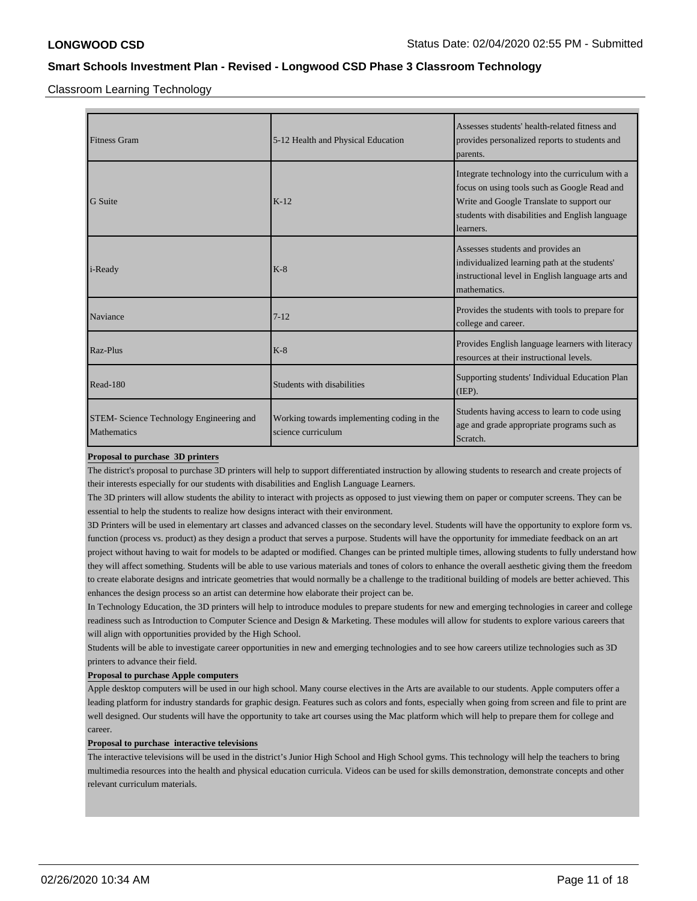Classroom Learning Technology

| <b>Fitness Gram</b>                                            | 5-12 Health and Physical Education                               | Assesses students' health-related fitness and<br>provides personalized reports to students and<br>parents.                                                                                                   |
|----------------------------------------------------------------|------------------------------------------------------------------|--------------------------------------------------------------------------------------------------------------------------------------------------------------------------------------------------------------|
| <b>G</b> Suite                                                 | $K-12$                                                           | Integrate technology into the curriculum with a<br>focus on using tools such as Google Read and<br>Write and Google Translate to support our<br>students with disabilities and English language<br>learners. |
| <i>i</i> -Ready                                                | $K-8$                                                            | Assesses students and provides an<br>individualized learning path at the students'<br>instructional level in English language arts and<br>mathematics.                                                       |
| Naviance                                                       | $7 - 12$                                                         | Provides the students with tools to prepare for<br>college and career.                                                                                                                                       |
| Raz-Plus                                                       | $K-8$                                                            | Provides English language learners with literacy<br>resources at their instructional levels.                                                                                                                 |
| Read-180                                                       | Students with disabilities                                       | Supporting students' Individual Education Plan<br>(IEP).                                                                                                                                                     |
| STEM- Science Technology Engineering and<br><b>Mathematics</b> | Working towards implementing coding in the<br>science curriculum | Students having access to learn to code using<br>age and grade appropriate programs such as<br>Scratch.                                                                                                      |

## **Proposal to purchase 3D printers**

The district's proposal to purchase 3D printers will help to support differentiated instruction by allowing students to research and create projects of their interests especially for our students with disabilities and English Language Learners.

The 3D printers will allow students the ability to interact with projects as opposed to just viewing them on paper or computer screens. They can be essential to help the students to realize how designs interact with their environment.

3D Printers will be used in elementary art classes and advanced classes on the secondary level. Students will have the opportunity to explore form vs. function (process vs. product) as they design a product that serves a purpose. Students will have the opportunity for immediate feedback on an art project without having to wait for models to be adapted or modified. Changes can be printed multiple times, allowing students to fully understand how they will affect something. Students will be able to use various materials and tones of colors to enhance the overall aesthetic giving them the freedom to create elaborate designs and intricate geometries that would normally be a challenge to the traditional building of models are better achieved. This enhances the design process so an artist can determine how elaborate their project can be.

In Technology Education, the 3D printers will help to introduce modules to prepare students for new and emerging technologies in career and college readiness such as Introduction to Computer Science and Design & Marketing. These modules will allow for students to explore various careers that will align with opportunities provided by the High School.

Students will be able to investigate career opportunities in new and emerging technologies and to see how careers utilize technologies such as 3D printers to advance their field.

### **Proposal to purchase Apple computers**

Apple desktop computers will be used in our high school. Many course electives in the Arts are available to our students. Apple computers offer a leading platform for industry standards for graphic design. Features such as colors and fonts, especially when going from screen and file to print are well designed. Our students will have the opportunity to take art courses using the Mac platform which will help to prepare them for college and career.

#### **Proposal to purchase interactive televisions**

The interactive televisions will be used in the district's Junior High School and High School gyms. This technology will help the teachers to bring multimedia resources into the health and physical education curricula. Videos can be used for skills demonstration, demonstrate concepts and other relevant curriculum materials.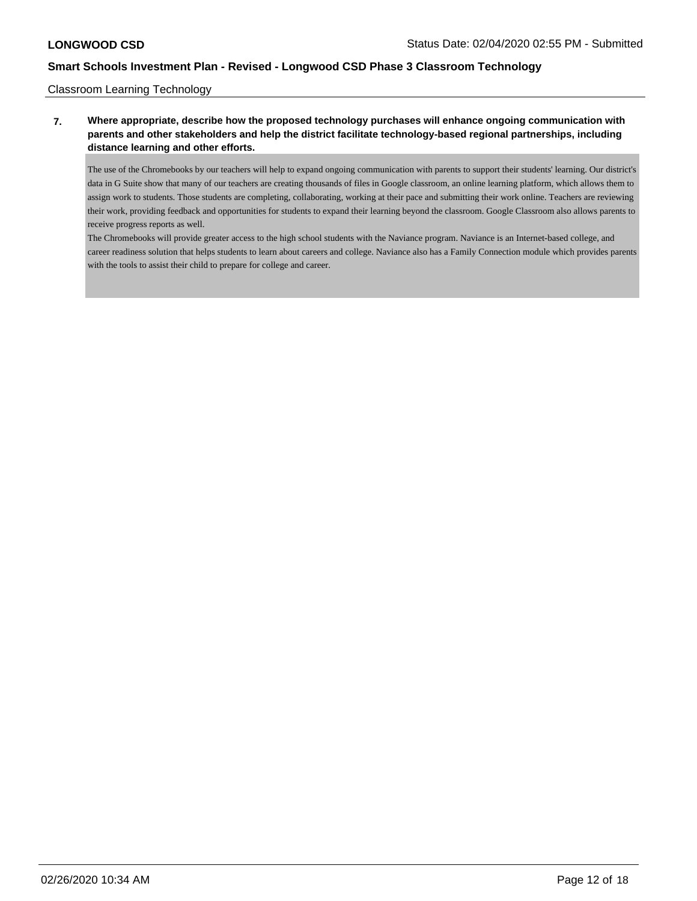### Classroom Learning Technology

## **7. Where appropriate, describe how the proposed technology purchases will enhance ongoing communication with parents and other stakeholders and help the district facilitate technology-based regional partnerships, including distance learning and other efforts.**

The use of the Chromebooks by our teachers will help to expand ongoing communication with parents to support their students' learning. Our district's data in G Suite show that many of our teachers are creating thousands of files in Google classroom, an online learning platform, which allows them to assign work to students. Those students are completing, collaborating, working at their pace and submitting their work online. Teachers are reviewing their work, providing feedback and opportunities for students to expand their learning beyond the classroom. Google Classroom also allows parents to receive progress reports as well.

The Chromebooks will provide greater access to the high school students with the Naviance program. Naviance is an Internet-based college, and career readiness solution that helps students to learn about careers and college. Naviance also has a Family Connection module which provides parents with the tools to assist their child to prepare for college and career.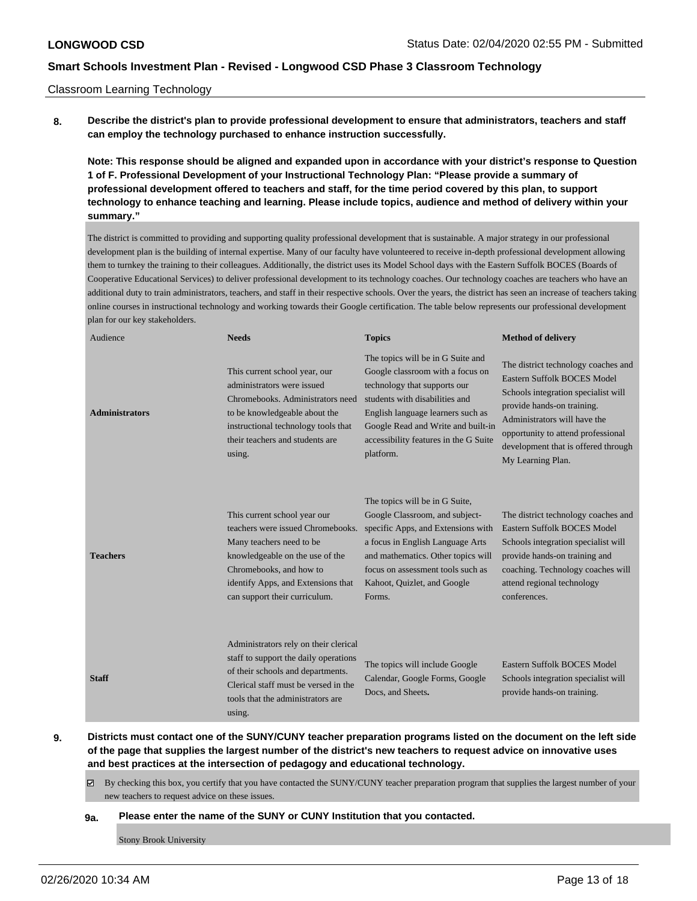Classroom Learning Technology

**8. Describe the district's plan to provide professional development to ensure that administrators, teachers and staff can employ the technology purchased to enhance instruction successfully.**

**Note: This response should be aligned and expanded upon in accordance with your district's response to Question 1 of F. Professional Development of your Instructional Technology Plan: "Please provide a summary of professional development offered to teachers and staff, for the time period covered by this plan, to support technology to enhance teaching and learning. Please include topics, audience and method of delivery within your summary."**

The district is committed to providing and supporting quality professional development that is sustainable. A major strategy in our professional development plan is the building of internal expertise. Many of our faculty have volunteered to receive in-depth professional development allowing them to turnkey the training to their colleagues. Additionally, the district uses its Model School days with the Eastern Suffolk BOCES (Boards of Cooperative Educational Services) to deliver professional development to its technology coaches. Our technology coaches are teachers who have an additional duty to train administrators, teachers, and staff in their respective schools. Over the years, the district has seen an increase of teachers taking online courses in instructional technology and working towards their Google certification. The table below represents our professional development plan for our key stakeholders.

| Audience              | <b>Needs</b>                                                                                                                                                                                                                       | <b>Topics</b>                                                                                                                                                                                                                                                            | <b>Method of delivery</b>                                                                                                                                                                                                                                                 |
|-----------------------|------------------------------------------------------------------------------------------------------------------------------------------------------------------------------------------------------------------------------------|--------------------------------------------------------------------------------------------------------------------------------------------------------------------------------------------------------------------------------------------------------------------------|---------------------------------------------------------------------------------------------------------------------------------------------------------------------------------------------------------------------------------------------------------------------------|
| <b>Administrators</b> | This current school year, our<br>administrators were issued<br>Chromebooks. Administrators need<br>to be knowledgeable about the<br>instructional technology tools that<br>their teachers and students are<br>using.               | The topics will be in G Suite and<br>Google classroom with a focus on<br>technology that supports our<br>students with disabilities and<br>English language learners such as<br>Google Read and Write and built-in<br>accessibility features in the G Suite<br>platform. | The district technology coaches and<br>Eastern Suffolk BOCES Model<br>Schools integration specialist will<br>provide hands-on training.<br>Administrators will have the<br>opportunity to attend professional<br>development that is offered through<br>My Learning Plan. |
| <b>Teachers</b>       | This current school year our<br>teachers were issued Chromebooks.<br>Many teachers need to be<br>knowledgeable on the use of the<br>Chromebooks, and how to<br>identify Apps, and Extensions that<br>can support their curriculum. | The topics will be in G Suite,<br>Google Classroom, and subject-<br>specific Apps, and Extensions with<br>a focus in English Language Arts<br>and mathematics. Other topics will<br>focus on assessment tools such as<br>Kahoot, Quizlet, and Google<br>Forms.           | The district technology coaches and<br>Eastern Suffolk BOCES Model<br>Schools integration specialist will<br>provide hands-on training and<br>coaching. Technology coaches will<br>attend regional technology<br>conferences.                                             |
| <b>Staff</b>          | Administrators rely on their clerical<br>staff to support the daily operations<br>of their schools and departments.<br>Clerical staff must be versed in the<br>tools that the administrators are<br>using.                         | The topics will include Google<br>Calendar, Google Forms, Google<br>Docs, and Sheets.                                                                                                                                                                                    | Eastern Suffolk BOCES Model<br>Schools integration specialist will<br>provide hands-on training.                                                                                                                                                                          |

**9. Districts must contact one of the SUNY/CUNY teacher preparation programs listed on the document on the left side of the page that supplies the largest number of the district's new teachers to request advice on innovative uses and best practices at the intersection of pedagogy and educational technology.**

By checking this box, you certify that you have contacted the SUNY/CUNY teacher preparation program that supplies the largest number of your new teachers to request advice on these issues.

#### **9a. Please enter the name of the SUNY or CUNY Institution that you contacted.**

Stony Brook University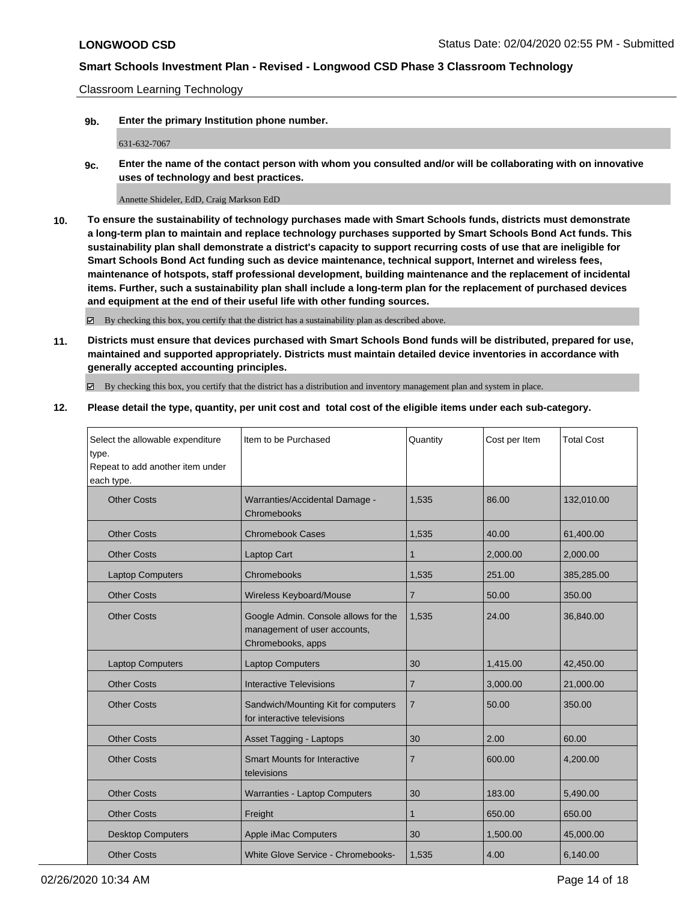Classroom Learning Technology

**9b. Enter the primary Institution phone number.**

631-632-7067

**9c. Enter the name of the contact person with whom you consulted and/or will be collaborating with on innovative uses of technology and best practices.**

Annette Shideler, EdD, Craig Markson EdD

**10. To ensure the sustainability of technology purchases made with Smart Schools funds, districts must demonstrate a long-term plan to maintain and replace technology purchases supported by Smart Schools Bond Act funds. This sustainability plan shall demonstrate a district's capacity to support recurring costs of use that are ineligible for Smart Schools Bond Act funding such as device maintenance, technical support, Internet and wireless fees, maintenance of hotspots, staff professional development, building maintenance and the replacement of incidental items. Further, such a sustainability plan shall include a long-term plan for the replacement of purchased devices and equipment at the end of their useful life with other funding sources.**

By checking this box, you certify that the district has a sustainability plan as described above.

**11. Districts must ensure that devices purchased with Smart Schools Bond funds will be distributed, prepared for use, maintained and supported appropriately. Districts must maintain detailed device inventories in accordance with generally accepted accounting principles.**

By checking this box, you certify that the district has a distribution and inventory management plan and system in place.

**12. Please detail the type, quantity, per unit cost and total cost of the eligible items under each sub-category.**

| Select the allowable expenditure<br>type.<br>Repeat to add another item under<br>each type. | Item to be Purchased                                                                      | Quantity       | Cost per Item | <b>Total Cost</b> |
|---------------------------------------------------------------------------------------------|-------------------------------------------------------------------------------------------|----------------|---------------|-------------------|
| <b>Other Costs</b>                                                                          | Warranties/Accidental Damage -<br>Chromebooks                                             | 1,535          | 86.00         | 132,010.00        |
| <b>Other Costs</b>                                                                          | <b>Chromebook Cases</b>                                                                   | 1,535          | 40.00         | 61,400.00         |
| <b>Other Costs</b>                                                                          | Laptop Cart                                                                               | 1              | 2,000.00      | 2,000.00          |
| <b>Laptop Computers</b>                                                                     | Chromebooks                                                                               | 1,535          | 251.00        | 385,285.00        |
| <b>Other Costs</b>                                                                          | Wireless Keyboard/Mouse                                                                   | $\overline{7}$ | 50.00         | 350.00            |
| <b>Other Costs</b>                                                                          | Google Admin. Console allows for the<br>management of user accounts,<br>Chromebooks, apps | 1,535          | 24.00         | 36,840.00         |
| <b>Laptop Computers</b>                                                                     | <b>Laptop Computers</b>                                                                   | 30             | 1,415.00      | 42,450.00         |
| <b>Other Costs</b>                                                                          | <b>Interactive Televisions</b>                                                            | 7              | 3,000.00      | 21,000.00         |
| <b>Other Costs</b>                                                                          | Sandwich/Mounting Kit for computers<br>for interactive televisions                        | 7              | 50.00         | 350.00            |
| <b>Other Costs</b>                                                                          | Asset Tagging - Laptops                                                                   | 30             | 2.00          | 60.00             |
| <b>Other Costs</b>                                                                          | <b>Smart Mounts for Interactive</b><br>televisions                                        | $\overline{7}$ | 600.00        | 4,200.00          |
| <b>Other Costs</b>                                                                          | Warranties - Laptop Computers                                                             | 30             | 183.00        | 5,490.00          |
| <b>Other Costs</b>                                                                          | Freight                                                                                   | 1              | 650.00        | 650.00            |
| <b>Desktop Computers</b>                                                                    | Apple iMac Computers                                                                      | 30             | 1,500.00      | 45,000.00         |
| <b>Other Costs</b>                                                                          | White Glove Service - Chromebooks-                                                        | 1,535          | 4.00          | 6,140.00          |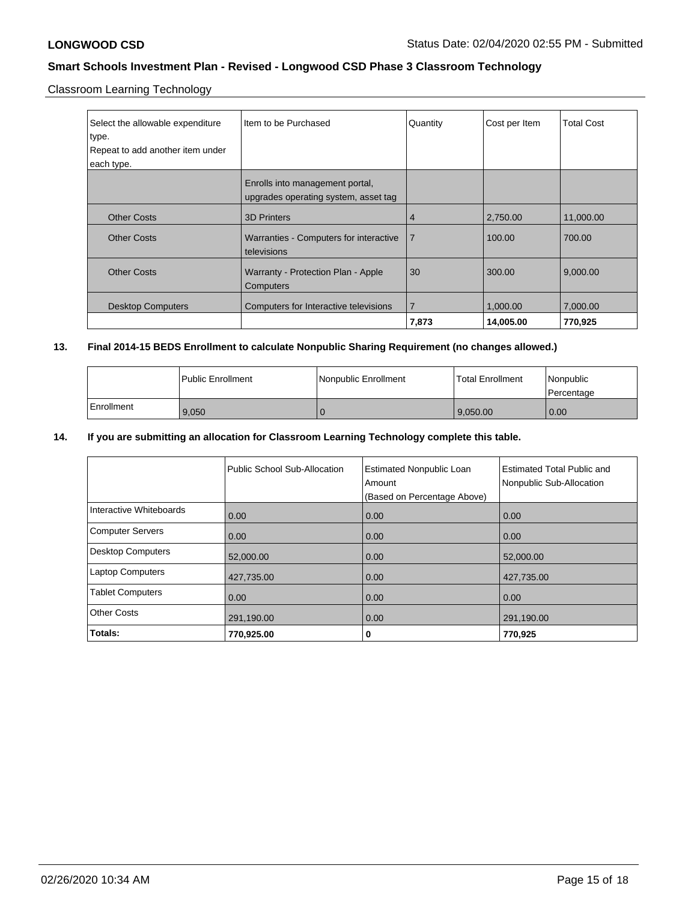Classroom Learning Technology

| Select the allowable expenditure<br>type.<br>Repeat to add another item under<br>each type. | Iltem to be Purchased                                                   | Quantity       | Cost per Item | <b>Total Cost</b> |
|---------------------------------------------------------------------------------------------|-------------------------------------------------------------------------|----------------|---------------|-------------------|
|                                                                                             | Enrolls into management portal,<br>upgrades operating system, asset tag |                |               |                   |
| <b>Other Costs</b>                                                                          | <b>3D Printers</b>                                                      | 4              | 2,750.00      | 11,000.00         |
| <b>Other Costs</b>                                                                          | Warranties - Computers for interactive<br>televisions                   | $\overline{7}$ | 100.00        | 700.00            |
| <b>Other Costs</b>                                                                          | Warranty - Protection Plan - Apple<br>Computers                         | 30             | 300.00        | 9,000.00          |
| <b>Desktop Computers</b>                                                                    | Computers for Interactive televisions                                   | 7              | 1,000.00      | 7,000.00          |
|                                                                                             |                                                                         | 7,873          | 14,005.00     | 770,925           |

## **13. Final 2014-15 BEDS Enrollment to calculate Nonpublic Sharing Requirement (no changes allowed.)**

|            | Public Enrollment | Nonpublic Enrollment | <b>Total Enrollment</b> | <i>Nonpublic</i><br><b>Percentage</b> |
|------------|-------------------|----------------------|-------------------------|---------------------------------------|
| Enrollment | 9,050             |                      | 9.050.00                | 0.00                                  |

## **14. If you are submitting an allocation for Classroom Learning Technology complete this table.**

|                          | Public School Sub-Allocation | <b>Estimated Nonpublic Loan</b><br>Amount<br>(Based on Percentage Above) | <b>Estimated Total Public and</b><br>Nonpublic Sub-Allocation |
|--------------------------|------------------------------|--------------------------------------------------------------------------|---------------------------------------------------------------|
| Interactive Whiteboards  | 0.00                         | 0.00                                                                     | 0.00                                                          |
| <b>Computer Servers</b>  | 0.00                         | 0.00                                                                     | 0.00                                                          |
| <b>Desktop Computers</b> | 52,000.00                    | 0.00                                                                     | 52,000.00                                                     |
| <b>Laptop Computers</b>  | 427,735.00                   | 0.00                                                                     | 427,735.00                                                    |
| <b>Tablet Computers</b>  | 0.00                         | 0.00                                                                     | 0.00                                                          |
| <b>Other Costs</b>       | 291,190.00                   | 0.00                                                                     | 291,190.00                                                    |
| Totals:                  | 770,925.00                   | 0                                                                        | 770,925                                                       |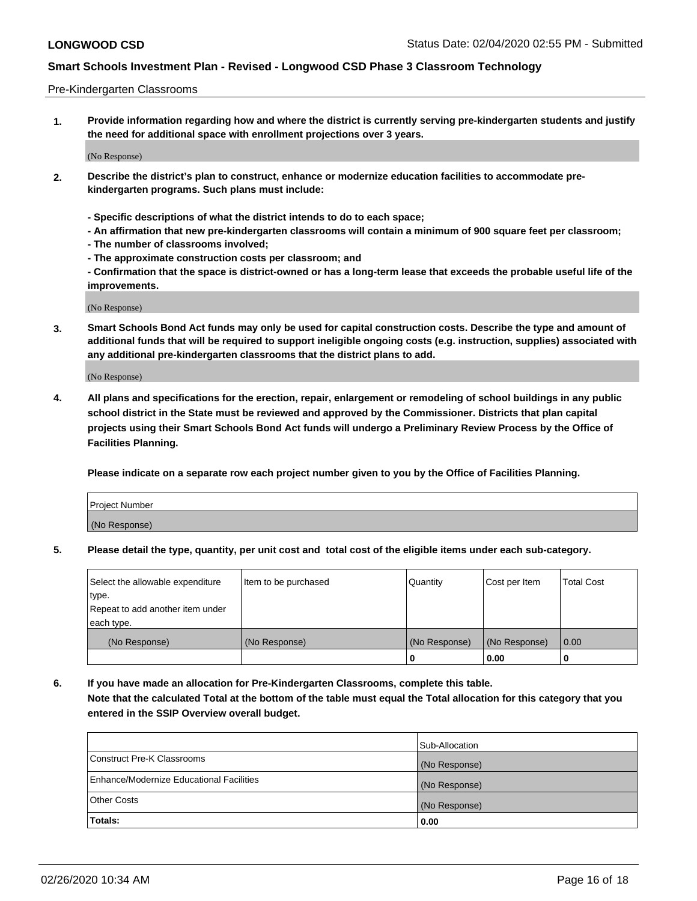#### Pre-Kindergarten Classrooms

**1. Provide information regarding how and where the district is currently serving pre-kindergarten students and justify the need for additional space with enrollment projections over 3 years.**

(No Response)

- **2. Describe the district's plan to construct, enhance or modernize education facilities to accommodate prekindergarten programs. Such plans must include:**
	- **Specific descriptions of what the district intends to do to each space;**
	- **An affirmation that new pre-kindergarten classrooms will contain a minimum of 900 square feet per classroom;**
	- **The number of classrooms involved;**
	- **The approximate construction costs per classroom; and**
	- **Confirmation that the space is district-owned or has a long-term lease that exceeds the probable useful life of the improvements.**

(No Response)

**3. Smart Schools Bond Act funds may only be used for capital construction costs. Describe the type and amount of additional funds that will be required to support ineligible ongoing costs (e.g. instruction, supplies) associated with any additional pre-kindergarten classrooms that the district plans to add.**

(No Response)

**4. All plans and specifications for the erection, repair, enlargement or remodeling of school buildings in any public school district in the State must be reviewed and approved by the Commissioner. Districts that plan capital projects using their Smart Schools Bond Act funds will undergo a Preliminary Review Process by the Office of Facilities Planning.**

**Please indicate on a separate row each project number given to you by the Office of Facilities Planning.**

| Project Number |  |
|----------------|--|
| (No Response)  |  |
|                |  |

**5. Please detail the type, quantity, per unit cost and total cost of the eligible items under each sub-category.**

| Select the allowable expenditure | Item to be purchased | Quantity      | Cost per Item | <b>Total Cost</b> |
|----------------------------------|----------------------|---------------|---------------|-------------------|
| type.                            |                      |               |               |                   |
| Repeat to add another item under |                      |               |               |                   |
| each type.                       |                      |               |               |                   |
| (No Response)                    | (No Response)        | (No Response) | (No Response) | 0.00              |
|                                  |                      | υ             | 0.00          |                   |

**6. If you have made an allocation for Pre-Kindergarten Classrooms, complete this table. Note that the calculated Total at the bottom of the table must equal the Total allocation for this category that you entered in the SSIP Overview overall budget.**

|                                          | Sub-Allocation |
|------------------------------------------|----------------|
| Construct Pre-K Classrooms               | (No Response)  |
| Enhance/Modernize Educational Facilities | (No Response)  |
| <b>Other Costs</b>                       | (No Response)  |
| Totals:                                  | 0.00           |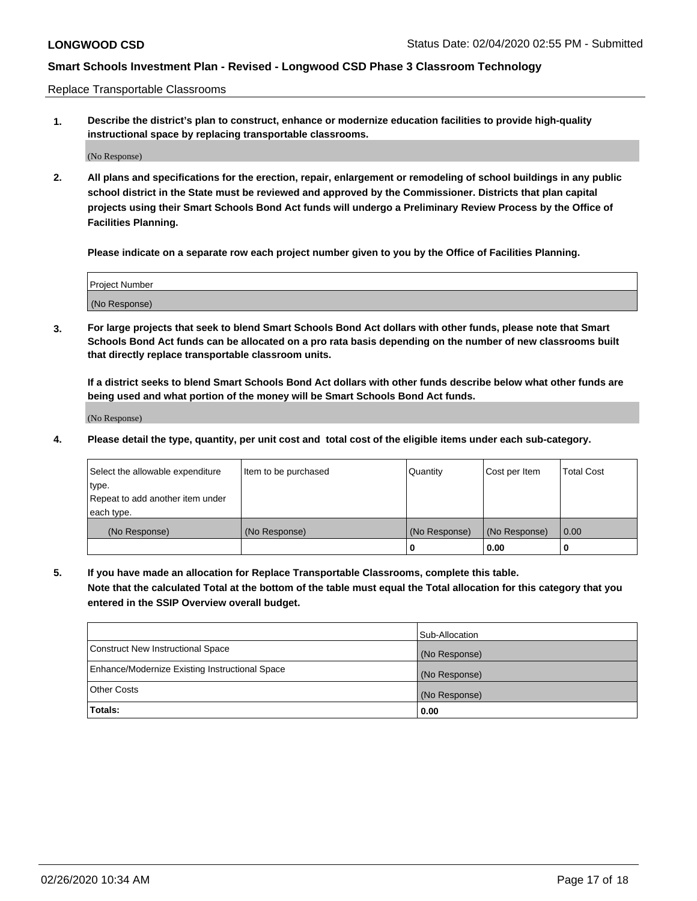Replace Transportable Classrooms

**1. Describe the district's plan to construct, enhance or modernize education facilities to provide high-quality instructional space by replacing transportable classrooms.**

(No Response)

**2. All plans and specifications for the erection, repair, enlargement or remodeling of school buildings in any public school district in the State must be reviewed and approved by the Commissioner. Districts that plan capital projects using their Smart Schools Bond Act funds will undergo a Preliminary Review Process by the Office of Facilities Planning.**

**Please indicate on a separate row each project number given to you by the Office of Facilities Planning.**

| Project Number |  |
|----------------|--|
|                |  |
|                |  |
| (No Response)  |  |

**3. For large projects that seek to blend Smart Schools Bond Act dollars with other funds, please note that Smart Schools Bond Act funds can be allocated on a pro rata basis depending on the number of new classrooms built that directly replace transportable classroom units.**

**If a district seeks to blend Smart Schools Bond Act dollars with other funds describe below what other funds are being used and what portion of the money will be Smart Schools Bond Act funds.**

(No Response)

**4. Please detail the type, quantity, per unit cost and total cost of the eligible items under each sub-category.**

| Select the allowable expenditure | Item to be purchased | Quantity      | Cost per Item | Total Cost |
|----------------------------------|----------------------|---------------|---------------|------------|
| ∣type.                           |                      |               |               |            |
| Repeat to add another item under |                      |               |               |            |
| each type.                       |                      |               |               |            |
| (No Response)                    | (No Response)        | (No Response) | (No Response) | 0.00       |
|                                  |                      | u             | 0.00          |            |

**5. If you have made an allocation for Replace Transportable Classrooms, complete this table. Note that the calculated Total at the bottom of the table must equal the Total allocation for this category that you entered in the SSIP Overview overall budget.**

|                                                | Sub-Allocation |
|------------------------------------------------|----------------|
| Construct New Instructional Space              | (No Response)  |
| Enhance/Modernize Existing Instructional Space | (No Response)  |
| Other Costs                                    | (No Response)  |
| Totals:                                        | 0.00           |